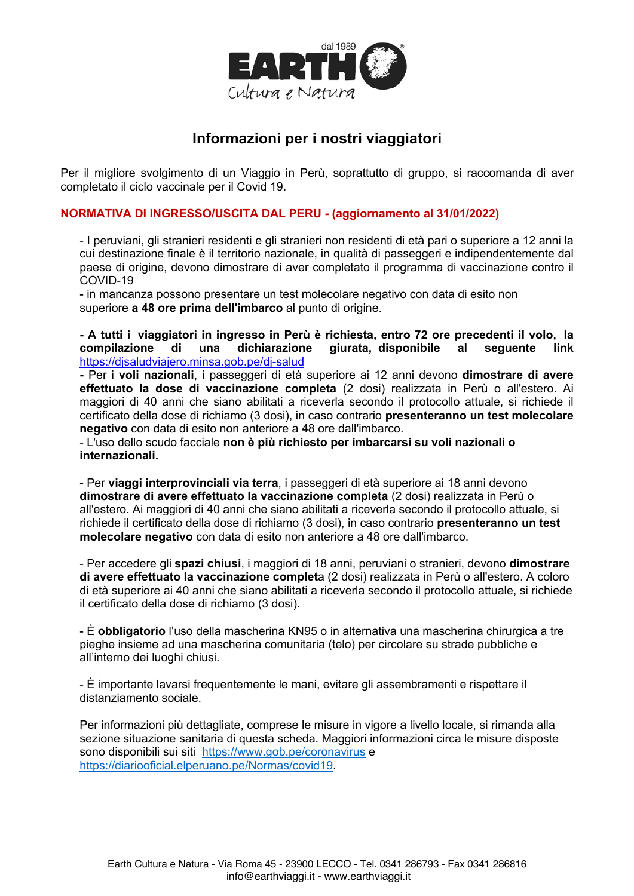

## Informazioni per i nostri viaggiatori

Per il migliore svolgimento di un Viaggio in Perù, soprattutto di gruppo, si raccomanda di aver completato il ciclo vaccinale per il Covid 19.

## NORMATIVA DI INGRESSO/USCITA DAL PERU - (aggiornamento al 31/01/2022)

- I peruviani, gli stranieri residenti e gli stranieri non residenti di età pari o superiore a 12 anni la cui destinazione finale è il territorio nazionale, in qualità di passeggeri e indipendentemente dal paese di origine, devono dimostrare di aver completato il programma di vaccinazione contro il COVID-19

- in mancanza possono presentare un test molecolare negativo con data di esito non superiore a 48 ore prima dell'imbarco al punto di origine.

- A tutti i viaggiatori in ingresso in Perù è richiesta, entro 72 ore precedenti il volo, la compilazione dichiarazione giurata, disponibile al di una sequente link https://disaludviajero.minsa.gob.pe/di-salud

- Per i voli nazionali, i passeggeri di età superiore ai 12 anni devono dimostrare di avere effettuato la dose di vaccinazione completa (2 dosi) realizzata in Perù o all'estero. Ai maggiori di 40 anni che siano abilitati a riceverla secondo il protocollo attuale, si richiede il certificato della dose di richiamo (3 dosi), in caso contrario presenteranno un test molecolare negativo con data di esito non anteriore a 48 ore dall'imbarco.

- L'uso dello scudo facciale non è più richiesto per imbarcarsi su voli nazionali o internazionali

- Per viaggi interprovinciali via terra, i passeggeri di età superiore ai 18 anni devono dimostrare di avere effettuato la vaccinazione completa (2 dosi) realizzata in Perù o all'estero. Ai maggiori di 40 anni che siano abilitati a riceverla secondo il protocollo attuale, si richiede il certificato della dose di richiamo (3 dosi), in caso contrario presenteranno un test molecolare negativo con data di esito non anteriore a 48 ore dall'imbarco.

- Per accedere gli spazi chiusi, i maggiori di 18 anni, peruviani o stranieri, devono dimostrare di avere effettuato la vaccinazione completa (2 dosi) realizzata in Perù o all'estero. A coloro di età superiore ai 40 anni che siano abilitati a riceverla secondo il protocollo attuale, si richiede il certificato della dose di richiamo (3 dosi).

- È obbligatorio l'uso della mascherina KN95 o in alternativa una mascherina chirurgica a tre pieghe insieme ad una mascherina comunitaria (telo) per circolare su strade pubbliche e all'interno dei luoghi chiusi.

- È importante lavarsi frequentemente le mani, evitare gli assembramenti e rispettare il distanziamento sociale.

Per informazioni più dettagliate, comprese le misure in vigore a livello locale, si rimanda alla sezione situazione sanitaria di questa scheda. Maggiori informazioni circa le misure disposte sono disponibili sui siti https://www.gob.pe/coronavirus e https://diariooficial.elperuano.pe/Normas/covid19.